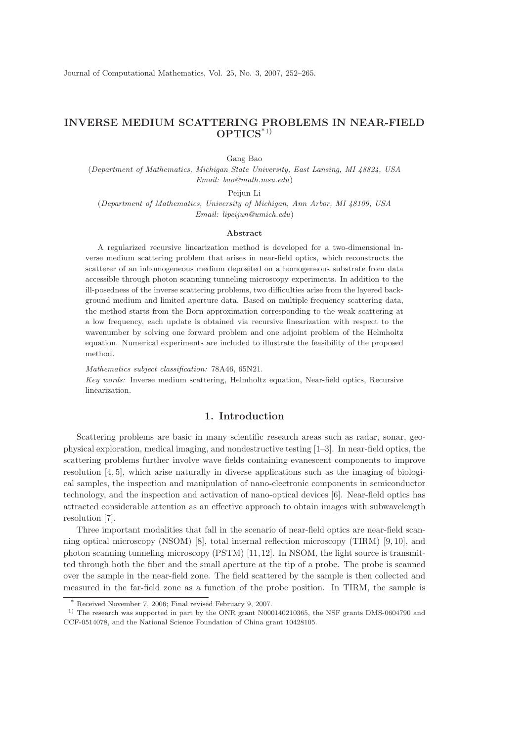# INVERSE MEDIUM SCATTERING PROBLEMS IN NEAR-FIELD OPTICS\*1)

Gang Bao

(Department of Mathematics, Michigan State University, East Lansing, MI 48824, USA Email: bao@math.msu.edu)

Peijun Li

(Department of Mathematics, University of Michigan, Ann Arbor, MI 48109, USA Email: lipeijun@umich.edu)

#### Abstract

A regularized recursive linearization method is developed for a two-dimensional inverse medium scattering problem that arises in near-field optics, which reconstructs the scatterer of an inhomogeneous medium deposited on a homogeneous substrate from data accessible through photon scanning tunneling microscopy experiments. In addition to the ill-posedness of the inverse scattering problems, two difficulties arise from the layered background medium and limited aperture data. Based on multiple frequency scattering data, the method starts from the Born approximation corresponding to the weak scattering at a low frequency, each update is obtained via recursive linearization with respect to the wavenumber by solving one forward problem and one adjoint problem of the Helmholtz equation. Numerical experiments are included to illustrate the feasibility of the proposed method.

Mathematics subject classification: 78A46, 65N21.

Key words: Inverse medium scattering, Helmholtz equation, Near-field optics, Recursive linearization.

### 1. Introduction

Scattering problems are basic in many scientific research areas such as radar, sonar, geophysical exploration, medical imaging, and nondestructive testing [1–3]. In near-field optics, the scattering problems further involve wave fields containing evanescent components to improve resolution  $[4, 5]$ , which arise naturally in diverse applications such as the imaging of biological samples, the inspection and manipulation of nano-electronic components in semiconductor technology, and the inspection and activation of nano-optical devices [6]. Near-field optics has attracted considerable attention as an effective approach to obtain images with subwavelength resolution [7].

Three important modalities that fall in the scenario of near-field optics are near-field scanning optical microscopy (NSOM) [8], total internal reflection microscopy (TIRM) [9, 10], and photon scanning tunneling microscopy (PSTM) [11,12]. In NSOM, the light source is transmitted through both the fiber and the small aperture at the tip of a probe. The probe is scanned over the sample in the near-field zone. The field scattered by the sample is then collected and measured in the far-field zone as a function of the probe position. In TIRM, the sample is

Received November 7, 2006; Final revised February 9, 2007.

<sup>1)</sup> The research was supported in part by the ONR grant N000140210365, the NSF grants DMS-0604790 and CCF-0514078, and the National Science Foundation of China grant 10428105.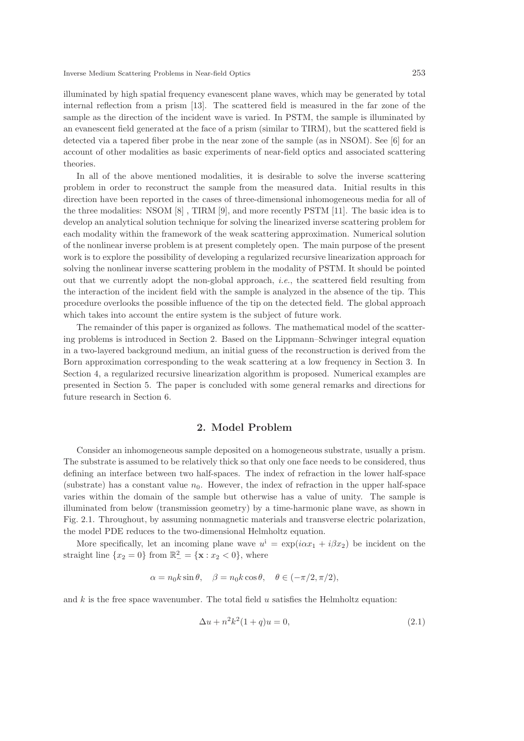illuminated by high spatial frequency evanescent plane waves, which may be generated by total internal reflection from a prism [13]. The scattered field is measured in the far zone of the sample as the direction of the incident wave is varied. In PSTM, the sample is illuminated by an evanescent field generated at the face of a prism (similar to TIRM), but the scattered field is detected via a tapered fiber probe in the near zone of the sample (as in NSOM). See [6] for an account of other modalities as basic experiments of near-field optics and associated scattering theories.

In all of the above mentioned modalities, it is desirable to solve the inverse scattering problem in order to reconstruct the sample from the measured data. Initial results in this direction have been reported in the cases of three-dimensional inhomogeneous media for all of the three modalities: NSOM [8] , TIRM [9], and more recently PSTM [11]. The basic idea is to develop an analytical solution technique for solving the linearized inverse scattering problem for each modality within the framework of the weak scattering approximation. Numerical solution of the nonlinear inverse problem is at present completely open. The main purpose of the present work is to explore the possibility of developing a regularized recursive linearization approach for solving the nonlinear inverse scattering problem in the modality of PSTM. It should be pointed out that we currently adopt the non-global approach, i.e., the scattered field resulting from the interaction of the incident field with the sample is analyzed in the absence of the tip. This procedure overlooks the possible influence of the tip on the detected field. The global approach which takes into account the entire system is the subject of future work.

The remainder of this paper is organized as follows. The mathematical model of the scattering problems is introduced in Section 2. Based on the Lippmann–Schwinger integral equation in a two-layered background medium, an initial guess of the reconstruction is derived from the Born approximation corresponding to the weak scattering at a low frequency in Section 3. In Section 4, a regularized recursive linearization algorithm is proposed. Numerical examples are presented in Section 5. The paper is concluded with some general remarks and directions for future research in Section 6.

### 2. Model Problem

Consider an inhomogeneous sample deposited on a homogeneous substrate, usually a prism. The substrate is assumed to be relatively thick so that only one face needs to be considered, thus defining an interface between two half-spaces. The index of refraction in the lower half-space (substrate) has a constant value  $n_0$ . However, the index of refraction in the upper half-space varies within the domain of the sample but otherwise has a value of unity. The sample is illuminated from below (transmission geometry) by a time-harmonic plane wave, as shown in Fig. 2.1. Throughout, by assuming nonmagnetic materials and transverse electric polarization, the model PDE reduces to the two-dimensional Helmholtz equation.

More specifically, let an incoming plane wave  $u^i = \exp(i\alpha x_1 + i\beta x_2)$  be incident on the straight line  $\{x_2 = 0\}$  from  $\mathbb{R}^2_- = \{\mathbf{x} : x_2 < 0\}$ , where

$$
\alpha = n_0 k \sin \theta, \quad \beta = n_0 k \cos \theta, \quad \theta \in (-\pi/2, \pi/2),
$$

and  $k$  is the free space wavenumber. The total field  $u$  satisfies the Helmholtz equation:

$$
\Delta u + n^2 k^2 (1+q) u = 0,\t\t(2.1)
$$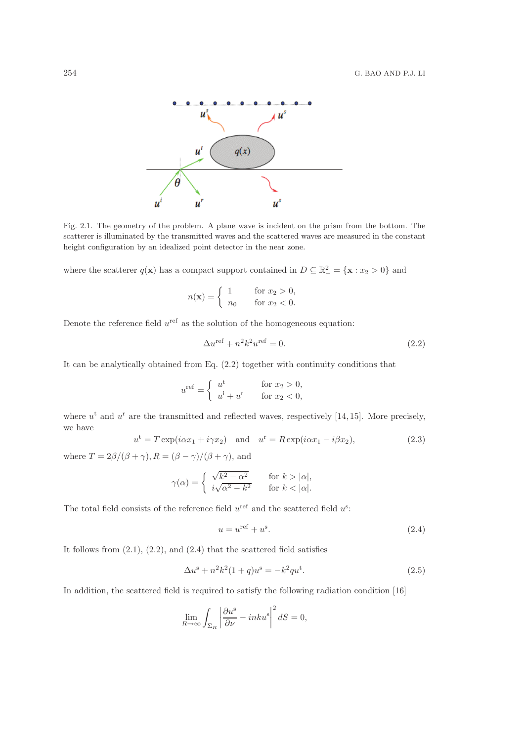

Fig. 2.1. The geometry of the problem. A plane wave is incident on the prism from the bottom. The scatterer is illuminated by the transmitted waves and the scattered waves are measured in the constant height configuration by an idealized point detector in the near zone.

where the scatterer  $q(\mathbf{x})$  has a compact support contained in  $D \subseteq \mathbb{R}^2_+ = {\mathbf{x} : x_2 > 0}$  and

$$
n(\mathbf{x}) = \begin{cases} 1 & \text{for } x_2 > 0, \\ n_0 & \text{for } x_2 < 0. \end{cases}
$$

Denote the reference field  $u^{\text{ref}}$  as the solution of the homogeneous equation:

$$
\Delta u^{\text{ref}} + n^2 k^2 u^{\text{ref}} = 0. \tag{2.2}
$$

It can be analytically obtained from Eq. (2.2) together with continuity conditions that

$$
u^{\text{ref}} = \begin{cases} u^{\text{t}} & \text{for } x_2 > 0, \\ u^{\text{i}} + u^{\text{r}} & \text{for } x_2 < 0, \end{cases}
$$

where  $u^t$  and  $u^r$  are the transmitted and reflected waves, respectively [14, 15]. More precisely, we have

$$
u^{\mathrm{t}} = T \exp(i\alpha x_1 + i\gamma x_2) \quad \text{and} \quad u^{\mathrm{r}} = R \exp(i\alpha x_1 - i\beta x_2), \tag{2.3}
$$

where  $T = 2\beta/(\beta + \gamma)$ ,  $R = (\beta - \gamma)/(\beta + \gamma)$ , and

$$
\gamma(\alpha) = \begin{cases} \sqrt{k^2 - \alpha^2} & \text{for } k > |\alpha|, \\ i\sqrt{\alpha^2 - k^2} & \text{for } k < |\alpha|. \end{cases}
$$

The total field consists of the reference field  $u^{\text{ref}}$  and the scattered field  $u^{\text{s}}$ :

$$
u = u^{\text{ref}} + u^{\text{s}}.\tag{2.4}
$$

It follows from  $(2.1)$ ,  $(2.2)$ , and  $(2.4)$  that the scattered field satisfies

$$
\Delta u^s + n^2 k^2 (1+q) u^s = -k^2 q u^t. \tag{2.5}
$$

In addition, the scattered field is required to satisfy the following radiation condition [16]

$$
\lim_{R \to \infty} \int_{\Sigma_R} \left| \frac{\partial u^s}{\partial \nu} - inku^s \right|^2 dS = 0,
$$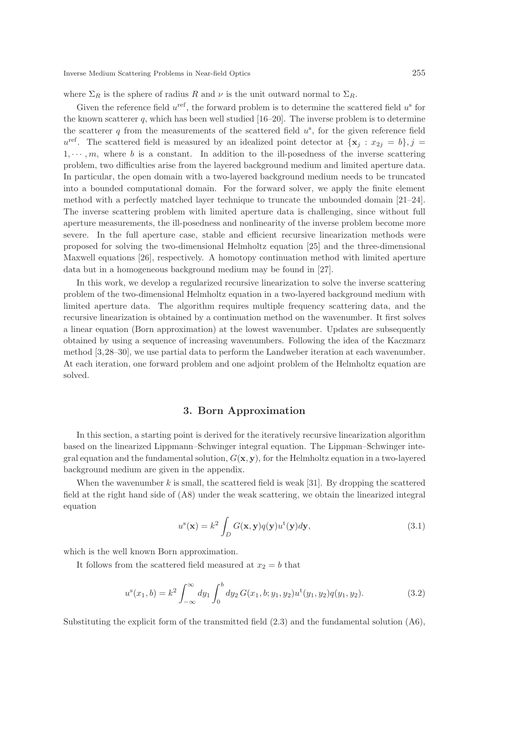where  $\Sigma_R$  is the sphere of radius R and  $\nu$  is the unit outward normal to  $\Sigma_R$ .

Given the reference field  $u^{\text{ref}}$ , the forward problem is to determine the scattered field  $u^{\text{s}}$  for the known scatterer  $q$ , which has been well studied  $[16–20]$ . The inverse problem is to determine the scatterer  $q$  from the measurements of the scattered field  $u^s$ , for the given reference field  $u^{\text{ref}}$ . The scattered field is measured by an idealized point detector at  $\{x_j : x_{2j} = b\}, j =$  $1, \dots, m$ , where b is a constant. In addition to the ill-posedness of the inverse scattering problem, two difficulties arise from the layered background medium and limited aperture data. In particular, the open domain with a two-layered background medium needs to be truncated into a bounded computational domain. For the forward solver, we apply the finite element method with a perfectly matched layer technique to truncate the unbounded domain [21–24]. The inverse scattering problem with limited aperture data is challenging, since without full aperture measurements, the ill-posedness and nonlinearity of the inverse problem become more severe. In the full aperture case, stable and efficient recursive linearization methods were proposed for solving the two-dimensional Helmholtz equation [25] and the three-dimensional Maxwell equations [26], respectively. A homotopy continuation method with limited aperture data but in a homogeneous background medium may be found in [27].

In this work, we develop a regularized recursive linearization to solve the inverse scattering problem of the two-dimensional Helmholtz equation in a two-layered background medium with limited aperture data. The algorithm requires multiple frequency scattering data, and the recursive linearization is obtained by a continuation method on the wavenumber. It first solves a linear equation (Born approximation) at the lowest wavenumber. Updates are subsequently obtained by using a sequence of increasing wavenumbers. Following the idea of the Kaczmarz method [3,28–30], we use partial data to perform the Landweber iteration at each wavenumber. At each iteration, one forward problem and one adjoint problem of the Helmholtz equation are solved.

# 3. Born Approximation

In this section, a starting point is derived for the iteratively recursive linearization algorithm based on the linearized Lippmann–Schwinger integral equation. The Lippman–Schwinger integral equation and the fundamental solution,  $G(\mathbf{x}, \mathbf{y})$ , for the Helmholtz equation in a two-layered background medium are given in the appendix.

When the wavenumber k is small, the scattered field is weak [31]. By dropping the scattered field at the right hand side of (A8) under the weak scattering, we obtain the linearized integral equation

$$
u^{s}(\mathbf{x}) = k^{2} \int_{D} G(\mathbf{x}, \mathbf{y}) q(\mathbf{y}) u^{t}(\mathbf{y}) d\mathbf{y},
$$
\n(3.1)

which is the well known Born approximation.

It follows from the scattered field measured at  $x_2 = b$  that

$$
u^{s}(x_{1},b) = k^{2} \int_{-\infty}^{\infty} dy_{1} \int_{0}^{b} dy_{2} G(x_{1},b; y_{1}, y_{2}) u^{t}(y_{1}, y_{2}) q(y_{1}, y_{2}). \tag{3.2}
$$

Substituting the explicit form of the transmitted field (2.3) and the fundamental solution (A6),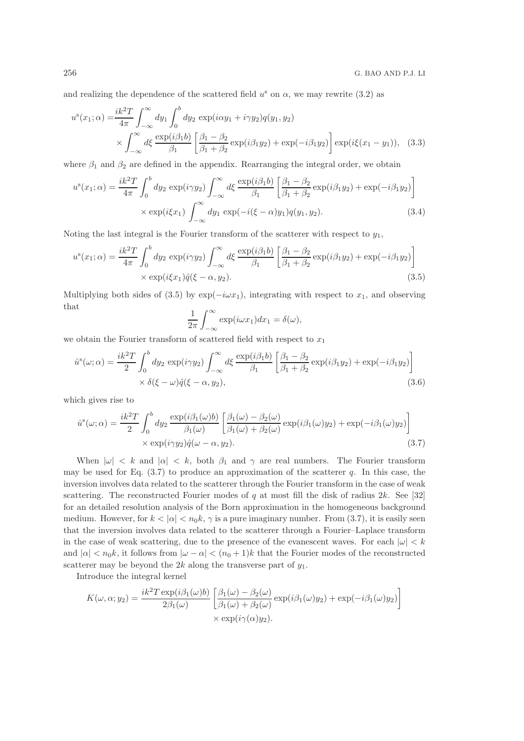and realizing the dependence of the scattered field  $u^s$  on  $\alpha$ , we may rewrite (3.2) as

$$
u^{s}(x_1;\alpha) = \frac{ik^2T}{4\pi} \int_{-\infty}^{\infty} dy_1 \int_0^b dy_2 \exp(i\alpha y_1 + i\gamma y_2) q(y_1, y_2)
$$
  
 
$$
\times \int_{-\infty}^{\infty} d\xi \frac{\exp(i\beta_1 b)}{\beta_1} \left[ \frac{\beta_1 - \beta_2}{\beta_1 + \beta_2} \exp(i\beta_1 y_2) + \exp(-i\beta_1 y_2) \right] \exp(i\xi(x_1 - y_1)), \quad (3.3)
$$

where  $\beta_1$  and  $\beta_2$  are defined in the appendix. Rearranging the integral order, we obtain

$$
u^s(x_1;\alpha) = \frac{ik^2T}{4\pi} \int_0^b dy_2 \exp(i\gamma y_2) \int_{-\infty}^\infty d\xi \frac{\exp(i\beta_1 b)}{\beta_1} \left[ \frac{\beta_1 - \beta_2}{\beta_1 + \beta_2} \exp(i\beta_1 y_2) + \exp(-i\beta_1 y_2) \right] \times \exp(i\xi x_1) \int_{-\infty}^\infty dy_1 \exp(-i(\xi - \alpha)y_1) q(y_1, y_2).
$$
 (3.4)

Noting the last integral is the Fourier transform of the scatterer with respect to  $y_1$ ,

$$
u^s(x_1; \alpha) = \frac{ik^2T}{4\pi} \int_0^b dy_2 \exp(i\gamma y_2) \int_{-\infty}^\infty d\xi \frac{\exp(i\beta_1 b)}{\beta_1} \left[ \frac{\beta_1 - \beta_2}{\beta_1 + \beta_2} \exp(i\beta_1 y_2) + \exp(-i\beta_1 y_2) \right] \times \exp(i\xi x_1) \hat{q}(\xi - \alpha, y_2).
$$
\n(3.5)

Multiplying both sides of (3.5) by  $\exp(-i\omega x_1)$ , integrating with respect to  $x_1$ , and observing that

$$
\frac{1}{2\pi} \int_{-\infty}^{\infty} \exp(i\omega x_1) dx_1 = \delta(\omega),
$$

we obtain the Fourier transform of scattered field with respect to  $x_1$ 

$$
\hat{u}^{s}(\omega;\alpha) = \frac{ik^{2}T}{2} \int_{0}^{b} dy_{2} \exp(i\gamma y_{2}) \int_{-\infty}^{\infty} d\xi \frac{\exp(i\beta_{1}b)}{\beta_{1}} \left[ \frac{\beta_{1} - \beta_{2}}{\beta_{1} + \beta_{2}} \exp(i\beta_{1}y_{2}) + \exp(-i\beta_{1}y_{2}) \right] \times \delta(\xi - \omega)\hat{q}(\xi - \alpha, y_{2}),
$$
\n(3.6)

which gives rise to

$$
\hat{u}^s(\omega;\alpha) = \frac{ik^2T}{2} \int_0^b dy_2 \frac{\exp(i\beta_1(\omega)b)}{\beta_1(\omega)} \left[ \frac{\beta_1(\omega) - \beta_2(\omega)}{\beta_1(\omega) + \beta_2(\omega)} \exp(i\beta_1(\omega)y_2) + \exp(-i\beta_1(\omega)y_2) \right] \times \exp(i\gamma y_2)\hat{q}(\omega - \alpha, y_2).
$$
\n(3.7)

When  $|\omega| < k$  and  $|\alpha| < k$ , both  $\beta_1$  and  $\gamma$  are real numbers. The Fourier transform may be used for Eq.  $(3.7)$  to produce an approximation of the scatterer q. In this case, the inversion involves data related to the scatterer through the Fourier transform in the case of weak scattering. The reconstructed Fourier modes of q at most fill the disk of radius  $2k$ . See [32] for an detailed resolution analysis of the Born approximation in the homogeneous background medium. However, for  $k < |\alpha| < n_0 k$ ,  $\gamma$  is a pure imaginary number. From (3.7), it is easily seen that the inversion involves data related to the scatterer through a Fourier–Laplace transform in the case of weak scattering, due to the presence of the evanescent waves. For each  $|\omega| < k$ and  $|\alpha| < n_0 k$ , it follows from  $|\omega - \alpha| < (n_0 + 1)k$  that the Fourier modes of the reconstructed scatterer may be beyond the 2k along the transverse part of  $y_1$ .

Introduce the integral kernel

$$
K(\omega, \alpha; y_2) = \frac{ik^2 T \exp(i\beta_1(\omega)b)}{2\beta_1(\omega)} \left[ \frac{\beta_1(\omega) - \beta_2(\omega)}{\beta_1(\omega) + \beta_2(\omega)} \exp(i\beta_1(\omega)y_2) + \exp(-i\beta_1(\omega)y_2) \right] \times \exp(i\gamma(\alpha)y_2).
$$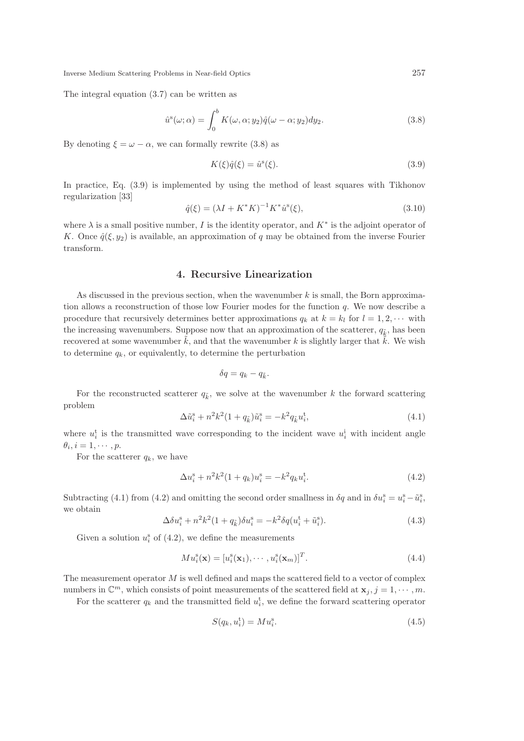The integral equation (3.7) can be written as

$$
\hat{u}^s(\omega;\alpha) = \int_0^b K(\omega,\alpha;y_2)\hat{q}(\omega-\alpha;y_2)dy_2.
$$
\n(3.8)

By denoting  $\xi = \omega - \alpha$ , we can formally rewrite (3.8) as

$$
K(\xi)\hat{q}(\xi) = \hat{u}^s(\xi). \tag{3.9}
$$

In practice, Eq. (3.9) is implemented by using the method of least squares with Tikhonov regularization [33]

$$
\hat{q}(\xi) = (\lambda I + K^* K)^{-1} K^* \hat{u}^s(\xi),\tag{3.10}
$$

where  $\lambda$  is a small positive number, I is the identity operator, and  $K^*$  is the adjoint operator of K. Once  $\hat{q}(\xi, y_2)$  is available, an approximation of q may be obtained from the inverse Fourier transform.

# 4. Recursive Linearization

As discussed in the previous section, when the wavenumber  $k$  is small, the Born approximation allows a reconstruction of those low Fourier modes for the function q. We now describe a procedure that recursively determines better approximations  $q_k$  at  $k = k_l$  for  $l = 1, 2, \cdots$  with the increasing wavenumbers. Suppose now that an approximation of the scatterer,  $q_k$ , has been recovered at some wavenumber  $\tilde{k}$ , and that the wavenumber k is slightly larger that  $\tilde{k}$ . We wish to determine  $q_k$ , or equivalently, to determine the perturbation

$$
\delta q = q_k - q_{\tilde{k}}.
$$

For the reconstructed scatterer  $q_{\tilde{k}}$ , we solve at the wavenumber k the forward scattering problem

$$
\Delta \tilde{u}_i^{\rm s} + n^2 k^2 (1 + q_{\tilde{k}}) \tilde{u}_i^{\rm s} = -k^2 q_{\tilde{k}} u_i^{\rm t}, \tag{4.1}
$$

where  $u_i^t$  is the transmitted wave corresponding to the incident wave  $u_i^i$  with incident angle  $\theta_i, i = 1, \cdots, p.$ 

For the scatterer  $q_k$ , we have

$$
\Delta u_i^s + n^2 k^2 (1 + q_k) u_i^s = -k^2 q_k u_i^t. \tag{4.2}
$$

Subtracting (4.1) from (4.2) and omitting the second order smallness in  $\delta q$  and in  $\delta u_i^s = u_i^s - \tilde{u}_i^s$ , we obtain

$$
\Delta \delta u_i^s + n^2 k^2 (1 + q_{\tilde{k}}) \delta u_i^s = -k^2 \delta q (u_i^t + \tilde{u}_i^s).
$$
 (4.3)

Given a solution  $u_i^s$  of (4.2), we define the measurements

$$
Mu_i^s(\mathbf{x}) = [u_i^s(\mathbf{x}_1), \cdots, u_i^s(\mathbf{x}_m)]^T.
$$
\n(4.4)

The measurement operator  $M$  is well defined and maps the scattered field to a vector of complex numbers in  $\mathbb{C}^m$ , which consists of point measurements of the scattered field at  $\mathbf{x}_j$ ,  $j = 1, \cdots, m$ .

For the scatterer  $q_k$  and the transmitted field  $u_i^{\text{t}}$ , we define the forward scattering operator

$$
S(q_k, u_i^{\mathbf{t}}) = M u_i^{\mathbf{s}}.\tag{4.5}
$$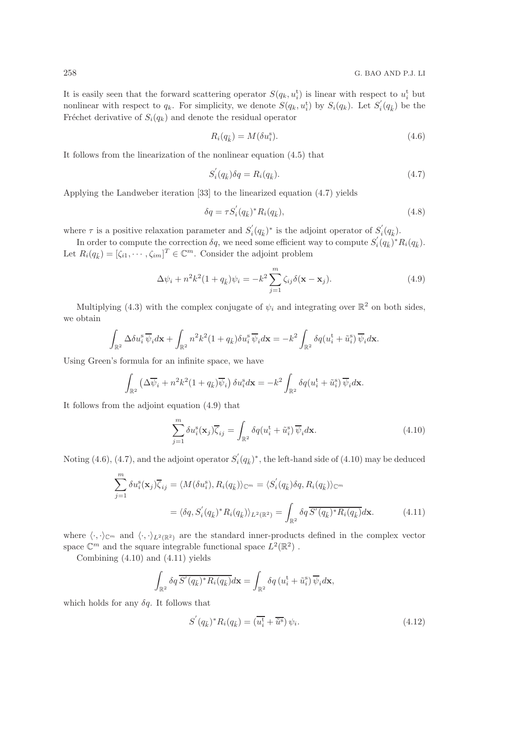It is easily seen that the forward scattering operator  $S(q_k, u_i^t)$  is linear with respect to  $u_i^t$  but nonlinear with respect to  $q_k$ . For simplicity, we denote  $S(q_k, u_i^t)$  by  $S_i(q_k)$ . Let  $S'_i$  $i_q(q_{\tilde{k}})$  be the Fréchet derivative of  $S_i(q_k)$  and denote the residual operator

$$
R_i(q_{\tilde{k}}) = M(\delta u_i^s). \tag{4.6}
$$

It follows from the linearization of the nonlinear equation (4.5) that

$$
S_i'(q_{\bar{k}})\delta q = R_i(q_{\bar{k}}). \tag{4.7}
$$

Applying the Landweber iteration [33] to the linearized equation (4.7) yields

$$
\delta q = \tau S_i'(q_{\tilde{k}})^* R_i(q_{\tilde{k}}), \qquad (4.8)
$$

where  $\tau$  is a positive relaxation parameter and  $S_i'$  $s_i'(q_{\tilde{k}})^*$  is the adjoint operator of  $S_i^{'}$  $i(q_{\tilde{k}}).$ 

In order to compute the correction  $\delta q$ , we need some efficient way to compute  $S_i$  $i'(q_{\tilde{k}})^*R_i(q_{\tilde{k}}).$ Let  $R_i(q_{\tilde{k}}) = [\zeta_{i1}, \cdots, \zeta_{im}]^T \in \mathbb{C}^m$ . Consider the adjoint problem

$$
\Delta \psi_i + n^2 k^2 (1 + q_{\tilde{k}}) \psi_i = -k^2 \sum_{j=1}^m \zeta_{ij} \delta(\mathbf{x} - \mathbf{x}_j).
$$
 (4.9)

Multiplying (4.3) with the complex conjugate of  $\psi_i$  and integrating over  $\mathbb{R}^2$  on both sides, we obtain

$$
\int_{\mathbb{R}^2} \Delta \delta u_i^s \, \overline{\psi}_i d\mathbf{x} + \int_{\mathbb{R}^2} n^2 k^2 (1 + q_{\tilde{k}}) \delta u_i^s \, \overline{\psi}_i d\mathbf{x} = -k^2 \int_{\mathbb{R}^2} \delta q(u_i^t + \tilde{u}_i^s) \, \overline{\psi}_i d\mathbf{x}.
$$

Using Green's formula for an infinite space, we have

$$
\int_{\mathbb{R}^2} \left( \Delta \overline{\psi}_i + n^2 k^2 (1 + q_{\tilde{k}}) \overline{\psi}_i \right) \delta u_i^{\rm s} d\mathbf{x} = -k^2 \int_{\mathbb{R}^2} \delta q(u_i^{\rm t} + \tilde{u}_i^{\rm s}) \overline{\psi}_i d\mathbf{x}.
$$

It follows from the adjoint equation (4.9) that

$$
\sum_{j=1}^{m} \delta u_i^s(\mathbf{x}_j) \overline{\zeta}_{ij} = \int_{\mathbb{R}^2} \delta q(u_i^t + \tilde{u}_i^s) \overline{\psi}_i d\mathbf{x}.
$$
 (4.10)

Noting  $(4.6)$ ,  $(4.7)$ , and the adjoint operator  $S_i'$  $i(q_{\tilde{k}})^*$ , the left-hand side of (4.10) may be deduced

$$
\sum_{j=1}^{m} \delta u_i^s(\mathbf{x}_j) \overline{\zeta}_{ij} = \langle M(\delta u_i^s), R_i(q_{\tilde{k}}) \rangle_{\mathbb{C}^m} = \langle S_i'(q_{\tilde{k}}) \delta q, R_i(q_{\tilde{k}}) \rangle_{\mathbb{C}^m}
$$

$$
= \langle \delta q, S_i'(q_{\tilde{k}})^* R_i(q_{\tilde{k}}) \rangle_{L^2(\mathbb{R}^2)} = \int_{\mathbb{R}^2} \delta q \overline{S'(q_{\tilde{k}})^* R_i(q_{\tilde{k}})} d\mathbf{x}.
$$
(4.11)

where  $\langle \cdot, \cdot \rangle_{\mathbb{C}^m}$  and  $\langle \cdot, \cdot \rangle_{L^2(\mathbb{R}^2)}$  are the standard inner-products defined in the complex vector space  $\mathbb{C}^m$  and the square integrable functional space  $L^2(\mathbb{R}^2)$ .

Combining (4.10) and (4.11) yields

$$
\int_{\mathbb{R}^2} \delta q \, \overline{S'(q_{\tilde{k}})^* R_i(q_{\tilde{k}})} d\mathbf{x} = \int_{\mathbb{R}^2} \delta q \, (u_i^{\mathrm{t}} + \tilde{u}_i^{\mathrm{s}}) \, \overline{\psi}_i d\mathbf{x},
$$

which holds for any  $\delta q$ . It follows that

$$
S^{'}(q_{\tilde{k}})^* R_i(q_{\tilde{k}}) = (\overline{u_i^{\mathbf{t}}} + \overline{\tilde{u}^{\mathbf{s}}}) \psi_i.
$$
\n(4.12)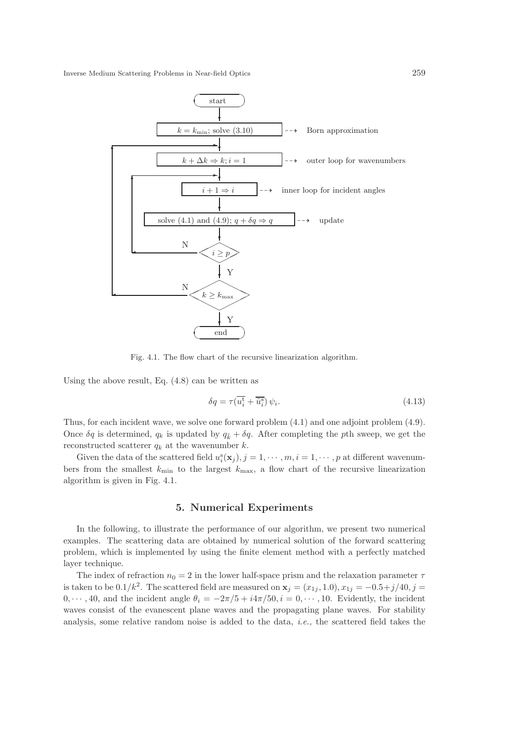

Fig. 4.1. The flow chart of the recursive linearization algorithm.

Using the above result, Eq. (4.8) can be written as

$$
\delta q = \tau(\overline{u_i^t} + \overline{\tilde{u}_i^s}) \psi_i.
$$
\n(4.13)

Thus, for each incident wave, we solve one forward problem (4.1) and one adjoint problem (4.9). Once  $\delta q$  is determined,  $q_k$  is updated by  $q_{\tilde{k}} + \delta q$ . After completing the pth sweep, we get the reconstructed scatterer  $q_k$  at the wavenumber  $k.$ 

Given the data of the scattered field  $u_i^s(\mathbf{x}_j)$ ,  $j = 1, \dots, m, i = 1, \dots, p$  at different wavenumbers from the smallest  $k_{\text{min}}$  to the largest  $k_{\text{max}}$ , a flow chart of the recursive linearization algorithm is given in Fig. 4.1.

#### 5. Numerical Experiments

In the following, to illustrate the performance of our algorithm, we present two numerical examples. The scattering data are obtained by numerical solution of the forward scattering problem, which is implemented by using the finite element method with a perfectly matched layer technique.

The index of refraction  $n_0 = 2$  in the lower half-space prism and the relaxation parameter  $\tau$ is taken to be  $0.1/k^2$ . The scattered field are measured on  $\mathbf{x}_j = (x_{1j}, 1.0), x_{1j} = -0.5+j/40, j =$  $0, \dots, 40$ , and the incident angle  $\theta_i = -2\pi/5 + i4\pi/50$ ,  $i = 0, \dots, 10$ . Evidently, the incident waves consist of the evanescent plane waves and the propagating plane waves. For stability analysis, some relative random noise is added to the data, i.e., the scattered field takes the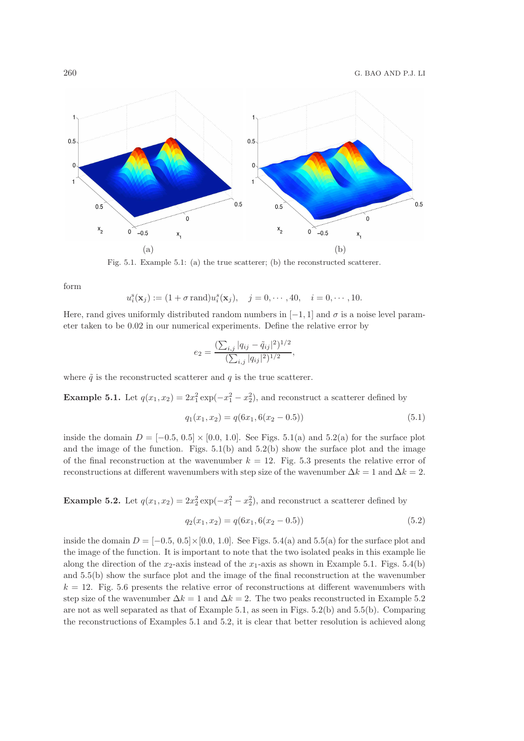

Fig. 5.1. Example 5.1: (a) the true scatterer; (b) the reconstructed scatterer.

form

$$
u_i^s(\mathbf{x}_j) := (1 + \sigma \text{ rand})u_i^s(\mathbf{x}_j), \quad j = 0, \cdots, 40, \quad i = 0, \cdots, 10.
$$

Here, rand gives uniformly distributed random numbers in  $[-1, 1]$  and  $\sigma$  is a noise level parameter taken to be 0.02 in our numerical experiments. Define the relative error by

$$
e_2 = \frac{\left(\sum_{i,j} |q_{ij} - \tilde{q}_{ij}|^2\right)^{1/2}}{\left(\sum_{i,j} |q_{ij}|^2\right)^{1/2}},
$$

where  $\tilde{q}$  is the reconstructed scatterer and q is the true scatterer.

**Example 5.1.** Let  $q(x_1, x_2) = 2x_1^2 \exp(-x_1^2 - x_2^2)$ , and reconstruct a scatterer defined by

$$
q_1(x_1, x_2) = q(6x_1, 6(x_2 - 0.5))
$$
\n<sup>(5.1)</sup>

inside the domain  $D = [-0.5, 0.5] \times [0.0, 1.0]$ . See Figs. 5.1(a) and 5.2(a) for the surface plot and the image of the function. Figs.  $5.1(b)$  and  $5.2(b)$  show the surface plot and the image of the final reconstruction at the wavenumber  $k = 12$ . Fig. 5.3 presents the relative error of reconstructions at different wavenumbers with step size of the wavenumber  $\Delta k = 1$  and  $\Delta k = 2$ .

**Example 5.2.** Let  $q(x_1, x_2) = 2x_2^2 \exp(-x_1^2 - x_2^2)$ , and reconstruct a scatterer defined by

$$
q_2(x_1, x_2) = q(6x_1, 6(x_2 - 0.5))
$$
\n<sup>(5.2)</sup>

inside the domain  $D = [-0.5, 0.5] \times [0.0, 1.0]$ . See Figs. 5.4(a) and 5.5(a) for the surface plot and the image of the function. It is important to note that the two isolated peaks in this example lie along the direction of the  $x_2$ -axis instead of the  $x_1$ -axis as shown in Example 5.1. Figs. 5.4(b) and 5.5(b) show the surface plot and the image of the final reconstruction at the wavenumber  $k = 12$ . Fig. 5.6 presents the relative error of reconstructions at different wavenumbers with step size of the wavenumber  $\Delta k = 1$  and  $\Delta k = 2$ . The two peaks reconstructed in Example 5.2 are not as well separated as that of Example 5.1, as seen in Figs. 5.2(b) and 5.5(b). Comparing the reconstructions of Examples 5.1 and 5.2, it is clear that better resolution is achieved along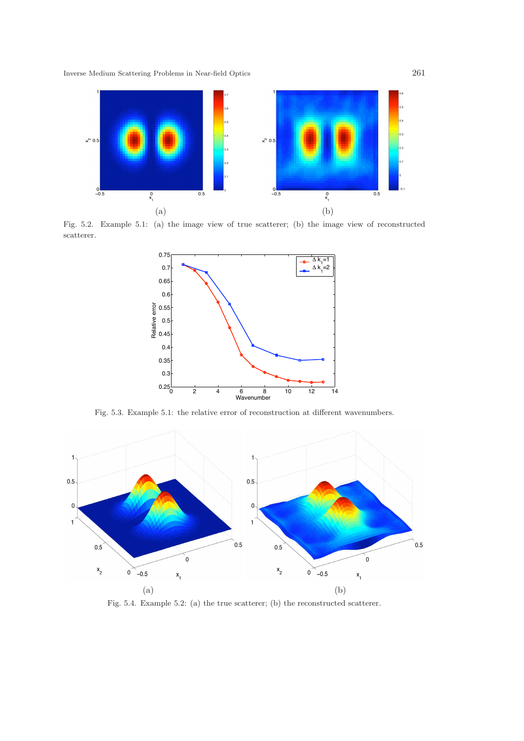

Fig. 5.2. Example 5.1: (a) the image view of true scatterer; (b) the image view of reconstructed scatterer.



Fig. 5.3. Example 5.1: the relative error of reconstruction at different wavenumbers.



Fig. 5.4. Example 5.2: (a) the true scatterer; (b) the reconstructed scatterer.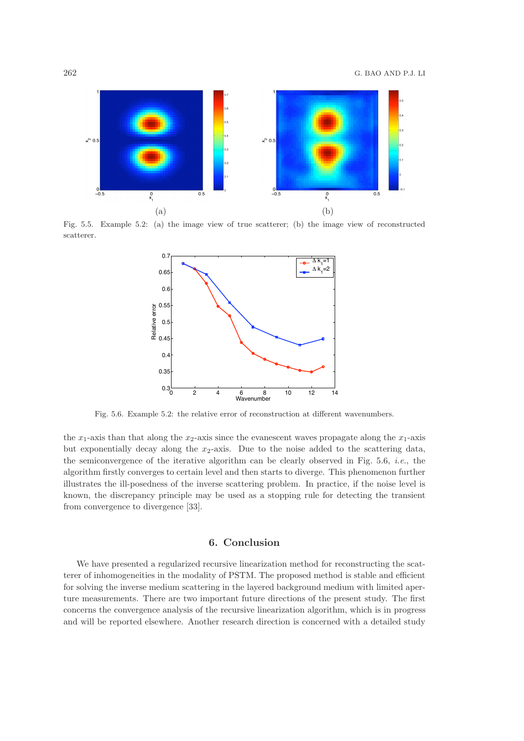

Fig. 5.5. Example 5.2: (a) the image view of true scatterer; (b) the image view of reconstructed scatterer.



Fig. 5.6. Example 5.2: the relative error of reconstruction at different wavenumbers.

the  $x_1$ -axis than that along the  $x_2$ -axis since the evanescent waves propagate along the  $x_1$ -axis but exponentially decay along the  $x_2$ -axis. Due to the noise added to the scattering data, the semiconvergence of the iterative algorithm can be clearly observed in Fig. 5.6, *i.e.*, the algorithm firstly converges to certain level and then starts to diverge. This phenomenon further illustrates the ill-posedness of the inverse scattering problem. In practice, if the noise level is known, the discrepancy principle may be used as a stopping rule for detecting the transient from convergence to divergence [33].

#### 6. Conclusion

We have presented a regularized recursive linearization method for reconstructing the scatterer of inhomogeneities in the modality of PSTM. The proposed method is stable and efficient for solving the inverse medium scattering in the layered background medium with limited aperture measurements. There are two important future directions of the present study. The first concerns the convergence analysis of the recursive linearization algorithm, which is in progress and will be reported elsewhere. Another research direction is concerned with a detailed study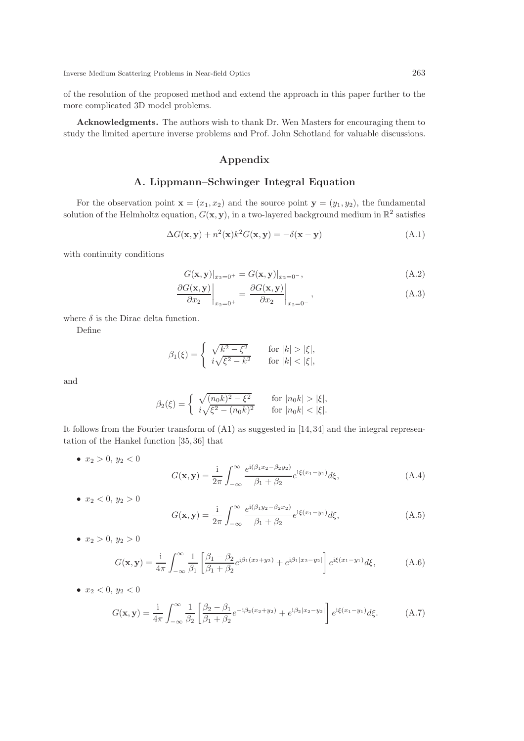of the resolution of the proposed method and extend the approach in this paper further to the more complicated 3D model problems.

Acknowledgments. The authors wish to thank Dr. Wen Masters for encouraging them to study the limited aperture inverse problems and Prof. John Schotland for valuable discussions.

# Appendix

### A. Lippmann–Schwinger Integral Equation

For the observation point  $\mathbf{x} = (x_1, x_2)$  and the source point  $\mathbf{y} = (y_1, y_2)$ , the fundamental solution of the Helmholtz equation,  $G(\mathbf{x}, \mathbf{y})$ , in a two-layered background medium in  $\mathbb{R}^2$  satisfies

$$
\Delta G(\mathbf{x}, \mathbf{y}) + n^2(\mathbf{x})k^2 G(\mathbf{x}, \mathbf{y}) = -\delta(\mathbf{x} - \mathbf{y})
$$
\n(A.1)

with continuity conditions

$$
G(\mathbf{x}, \mathbf{y})|_{x_2=0^+} = G(\mathbf{x}, \mathbf{y})|_{x_2=0^-},
$$
\n(A.2)

$$
\left. \frac{\partial G(\mathbf{x}, \mathbf{y})}{\partial x_2} \right|_{x_2 = 0^+} = \left. \frac{\partial G(\mathbf{x}, \mathbf{y})}{\partial x_2} \right|_{x_2 = 0^-},
$$
\n(A.3)

where  $\delta$  is the Dirac delta function.

Define

$$
\beta_1(\xi) = \begin{cases} \sqrt{k^2 - \xi^2} & \text{for } |k| > |\xi|, \\ i\sqrt{\xi^2 - k^2} & \text{for } |k| < |\xi|, \end{cases}
$$

and

$$
\beta_2(\xi) = \begin{cases} \sqrt{(n_0 k)^2 - \xi^2} & \text{for } |n_0 k| > |\xi|, \\ i\sqrt{\xi^2 - (n_0 k)^2} & \text{for } |n_0 k| < |\xi|. \end{cases}
$$

It follows from the Fourier transform of (A1) as suggested in [14, 34] and the integral representation of the Hankel function [35, 36] that

•  $x_2 > 0, y_2 < 0$ 

$$
G(\mathbf{x}, \mathbf{y}) = \frac{i}{2\pi} \int_{-\infty}^{\infty} \frac{e^{i(\beta_1 x_2 - \beta_2 y_2)}}{\beta_1 + \beta_2} e^{i\xi(x_1 - y_1)} d\xi,
$$
 (A.4)

•  $x_2 < 0, y_2 > 0$ 

$$
G(\mathbf{x}, \mathbf{y}) = \frac{1}{2\pi} \int_{-\infty}^{\infty} \frac{e^{i(\beta_1 y_2 - \beta_2 x_2)}}{\beta_1 + \beta_2} e^{i\xi(x_1 - y_1)} d\xi,
$$
 (A.5)

•  $x_2 > 0, y_2 > 0$ 

$$
G(\mathbf{x}, \mathbf{y}) = \frac{1}{4\pi} \int_{-\infty}^{\infty} \frac{1}{\beta_1} \left[ \frac{\beta_1 - \beta_2}{\beta_1 + \beta_2} e^{i\beta_1(x_2 + y_2)} + e^{i\beta_1|x_2 - y_2|} \right] e^{i\xi(x_1 - y_1)} d\xi,
$$
 (A.6)

•  $x_2 < 0, y_2 < 0$ 

$$
G(\mathbf{x}, \mathbf{y}) = \frac{\mathrm{i}}{4\pi} \int_{-\infty}^{\infty} \frac{1}{\beta_2} \left[ \frac{\beta_2 - \beta_1}{\beta_1 + \beta_2} e^{-\mathrm{i}\beta_2 (x_2 + y_2)} + e^{\mathrm{i}\beta_2 |x_2 - y_2|} \right] e^{\mathrm{i}\xi (x_1 - y_1)} d\xi. \tag{A.7}
$$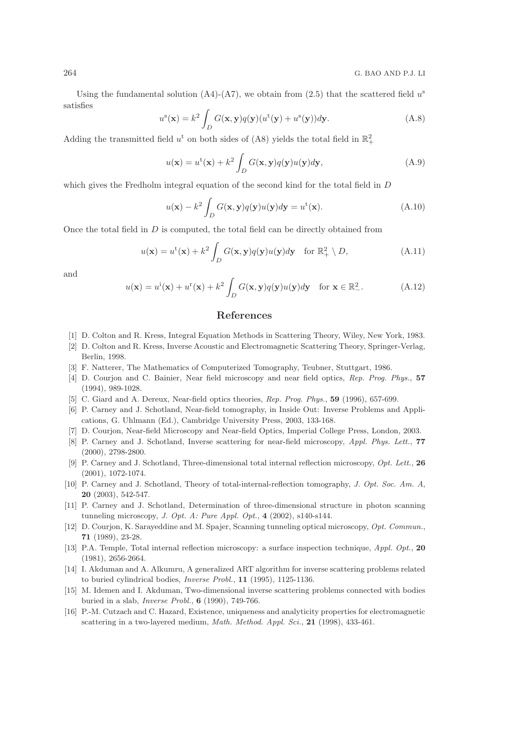Using the fundamental solution  $(A4)-(A7)$ , we obtain from  $(2.5)$  that the scattered field  $u^s$ satisfies

$$
u^s(\mathbf{x}) = k^2 \int_D G(\mathbf{x}, \mathbf{y}) q(\mathbf{y}) (u^t(\mathbf{y}) + u^s(\mathbf{y})) d\mathbf{y}.
$$
 (A.8)

Adding the transmitted field  $u^t$  on both sides of (A8) yields the total field in  $\mathbb{R}^2_+$ 

$$
u(\mathbf{x}) = u^{\mathrm{t}}(\mathbf{x}) + k^2 \int_D G(\mathbf{x}, \mathbf{y}) q(\mathbf{y}) u(\mathbf{y}) d\mathbf{y}, \tag{A.9}
$$

which gives the Fredholm integral equation of the second kind for the total field in D

$$
u(\mathbf{x}) - k^2 \int_D G(\mathbf{x}, \mathbf{y}) q(\mathbf{y}) u(\mathbf{y}) d\mathbf{y} = u^{\mathrm{t}}(\mathbf{x}). \tag{A.10}
$$

Once the total field in  $D$  is computed, the total field can be directly obtained from

$$
u(\mathbf{x}) = u^{\mathrm{t}}(\mathbf{x}) + k^2 \int_D G(\mathbf{x}, \mathbf{y}) q(\mathbf{y}) u(\mathbf{y}) d\mathbf{y} \quad \text{for } \mathbb{R}_+^2 \setminus D,
$$
 (A.11)

and

$$
u(\mathbf{x}) = u^i(\mathbf{x}) + u^r(\mathbf{x}) + k^2 \int_D G(\mathbf{x}, \mathbf{y}) q(\mathbf{y}) u(\mathbf{y}) d\mathbf{y} \quad \text{for } \mathbf{x} \in \mathbb{R}^2_-\,. \tag{A.12}
$$

#### References

- [1] D. Colton and R. Kress, Integral Equation Methods in Scattering Theory, Wiley, New York, 1983.
- [2] D. Colton and R. Kress, Inverse Acoustic and Electromagnetic Scattering Theory, Springer-Verlag, Berlin, 1998.
- [3] F. Natterer, The Mathematics of Computerized Tomography, Teubner, Stuttgart, 1986.
- [4] D. Courjon and C. Bainier, Near field microscopy and near field optics, Rep. Prog. Phys., 57 (1994), 989-1028.
- [5] C. Giard and A. Dereux, Near-field optics theories, Rep. Prog. Phys., 59 (1996), 657-699.
- [6] P. Carney and J. Schotland, Near-field tomography, in Inside Out: Inverse Problems and Applications, G. Uhlmann (Ed.), Cambridge University Press, 2003, 133-168.
- [7] D. Courjon, Near-field Microscopy and Near-field Optics, Imperial College Press, London, 2003.
- [8] P. Carney and J. Schotland, Inverse scattering for near-field microscopy, Appl. Phys. Lett., 77 (2000), 2798-2800.
- [9] P. Carney and J. Schotland, Three-dimensional total internal reflection microscopy, Opt. Lett., 26 (2001), 1072-1074.
- [10] P. Carney and J. Schotland, Theory of total-internal-reflection tomography, J. Opt. Soc. Am. A, 20 (2003), 542-547.
- [11] P. Carney and J. Schotland, Determination of three-dimensional structure in photon scanning tunneling microscopy, J. Opt. A: Pure Appl. Opt.,  $4$  (2002), s140-s144.
- [12] D. Courjon, K. Sarayeddine and M. Spajer, Scanning tunneling optical microscopy, Opt. Commun., 71 (1989), 23-28.
- [13] P.A. Temple, Total internal reflection microscopy: a surface inspection technique, Appl. Opt., 20 (1981), 2656-2664.
- [14] I. Akduman and A. Alkumru, A generalized ART algorithm for inverse scattering problems related to buried cylindrical bodies, Inverse Probl., 11 (1995), 1125-1136.
- [15] M. Idemen and I. Akduman, Two-dimensional inverse scattering problems connected with bodies buried in a slab, Inverse Probl., 6 (1990), 749-766.
- [16] P.-M. Cutzach and C. Hazard, Existence, uniqueness and analyticity properties for electromagnetic scattering in a two-layered medium, *Math. Method. Appl. Sci.*, **21** (1998), 433-461.